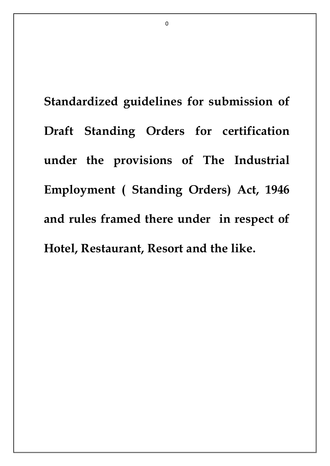**Standardized guidelines for submission of Draft Standing Orders for certification under the provisions of The Industrial Employment ( Standing Orders) Act, 1946 and rules framed there under in respect of Hotel, Restaurant, Resort and the like.**

 $\Omega$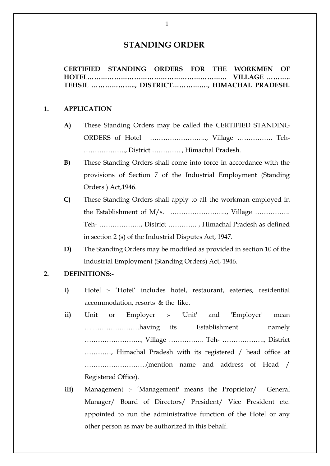# **STANDING ORDER**

**CERTIFIED STANDING ORDERS FOR THE WORKMEN OF HOTEL……………………………………………………… VILLAGE ……….. TEHSIL ……………….., DISTRICT……………., HIMACHAL PRADESH.**

#### **1. APPLICATION**

- **A)** These Standing Orders may be called the CERTIFIED STANDING ORDERS of Hotel …………………….., Village ……………. Teh- ………………., District …………. , Himachal Pradesh.
- **B)** These Standing Orders shall come into force in accordance with the provisions of Section 7 of the Industrial Employment (Standing Orders ) Act,1946.
- **C)** These Standing Orders shall apply to all the workman employed in the Establishment of M/s. …………………….., Village ……………. Teh- ………………., District …………. , Himachal Pradesh as defined in section 2 (s) of the Industrial Disputes Act, 1947.
- **D)** The Standing Orders may be modified as provided in section 10 of the Industrial Employment (Standing Orders) Act, 1946.

#### **2. DEFINITIONS:-**

- **i)** Hotel :- 'Hotel' includes hotel, restaurant, eateries, residential accommodation, resorts & the like.
- **ii)** Unit or Employer :- 'Unit' and 'Employer' mean ….…………………having its Establishment namely …………………….., Village ……………. Teh- ………………., District …………, Himachal Pradesh with its registered / head office at ……………………….(mention name and address of Head / Registered Office).
- **iii)** Management :- 'Management' means the Proprietor/ General Manager/ Board of Directors/ President/ Vice President etc. appointed to run the administrative function of the Hotel or any other person as may be authorized in this behalf.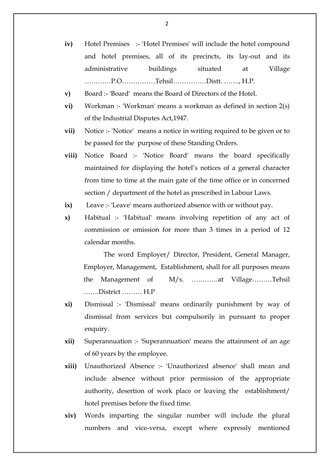- **iv)** Hotel Premises :- 'Hotel Premises' will include the hotel compound and hotel premises, all of its precincts, its lay-out and its administrative buildings situated at Village …………P.O……………Tehsil……………Distt. ……., H.P.
- **v)** Board :- 'Board' means the Board of Directors of the Hotel.
- **vi)** Workman :- 'Workman' means a workman as defined in section 2(s) of the Industrial Disputes Act,1947.
- **vii)** Notice :- 'Notice' means a notice in writing required to be given or to be passed for the purpose of these Standing Orders.
- **viii)** Notice Board :- 'Notice Board' means the board specifically maintained for displaying the hotel's notices of a general character from time to time at the main gate of the time office or in concerned section / department of the hotel as prescribed in Labour Laws.
- **ix)** Leave:- 'Leave' means authorized absence with or without pay.
- **x)** Habitual :- 'Habitual' means involving repetition of any act of commission or omission for more than 3 times in a period of 12 calendar months.

The word Employer/ Director, President, General Manager, Employer, Management, Establishment, shall for all purposes means the Management of M/s. …………at Village………Tehsil …….District ……… H.P

- **xi)** Dismissal :- 'Dismissal' means ordinarily punishment by way of dismissal from services but compulsorily in pursuant to proper enquiry.
- **xii)** Superannuation :- 'Superannuation' means the attainment of an age of 60 years by the employee.
- **xiii)** Unauthorized Absence :- 'Unauthorized absence' shall mean and include absence without prior permission of the appropriate authority, desertion of work place or leaving the establishment/ hotel premises before the fixed time.
- **xiv)** Words imparting the singular number will include the plural numbers and vice-versa, except where expressly mentioned

 $\overline{2}$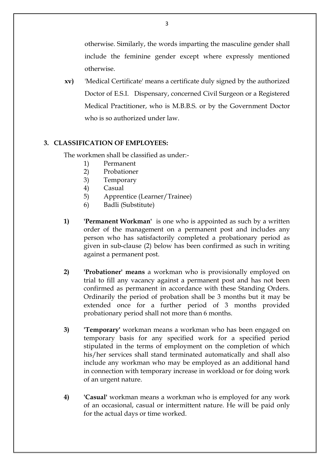otherwise. Similarly, the words imparting the masculine gender shall include the feminine gender except where expressly mentioned otherwise.

**xv)** 'Medical Certificate' means a certificate duly signed by the authorized Doctor of E.S.I. Dispensary, concerned Civil Surgeon or a Registered Medical Practitioner, who is M.B.B.S. or by the Government Doctor who is so authorized under law.

# **3. CLASSIFICATION OF EMPLOYEES:**

The workmen shall be classified as under:-

- 1) Permanent
- 2) Probationer
- 3) Temporary
- 4) Casual
- 5) Apprentice (Learner/Trainee)
- 6) Badli (Substitute)
- **1) 'Permanent Workman'** is one who is appointed as such by a written order of the management on a permanent post and includes any person who has satisfactorily completed a probationary period as given in sub-clause (2) below has been confirmed as such in writing against a permanent post.
- **2) 'Probationer' means** a workman who is provisionally employed on trial to fill any vacancy against a permanent post and has not been confirmed as permanent in accordance with these Standing Orders. Ordinarily the period of probation shall be 3 months but it may be extended once for a further period of 3 months provided probationary period shall not more than 6 months.
- **3) 'Temporary'** workman means a workman who has been engaged on temporary basis for any specified work for a specified period stipulated in the terms of employment on the completion of which his/her services shall stand terminated automatically and shall also include any workman who may be employed as an additional hand in connection with temporary increase in workload or for doing work of an urgent nature.
- **4) 'Casual'** workman means a workman who is employed for any work of an occasional, casual or intermittent nature. He will be paid only for the actual days or time worked.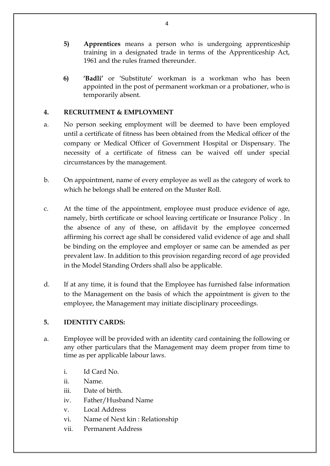- **5) Apprentices** means a person who is undergoing apprenticeship training in a designated trade in terms of the Apprenticeship Act, 1961 and the rules framed thereunder.
- **6) 'Badli'** or 'Substitute' workman is a workman who has been appointed in the post of permanent workman or a probationer, who is temporarily absent.

# **4. RECRUITMENT & EMPLOYMENT**

- a. No person seeking employment will be deemed to have been employed until a certificate of fitness has been obtained from the Medical officer of the company or Medical Officer of Government Hospital or Dispensary. The necessity of a certificate of fitness can be waived off under special circumstances by the management.
- b. On appointment, name of every employee as well as the category of work to which he belongs shall be entered on the Muster Roll.
- c. At the time of the appointment, employee must produce evidence of age, namely, birth certificate or school leaving certificate or Insurance Policy . In the absence of any of these, on affidavit by the employee concerned affirming his correct age shall be considered valid evidence of age and shall be binding on the employee and employer or same can be amended as per prevalent law. In addition to this provision regarding record of age provided in the Model Standing Orders shall also be applicable.
- d. If at any time, it is found that the Employee has furnished false information to the Management on the basis of which the appointment is given to the employee, the Management may initiate disciplinary proceedings.

# **5. IDENTITY CARDS:**

- a. Employee will be provided with an identity card containing the following or any other particulars that the Management may deem proper from time to time as per applicable labour laws.
	- i. Id Card No.
	- ii. Name.
	- iii. Date of birth.
	- iv. Father/Husband Name
	- v. Local Address
	- vi. Name of Next kin : Relationship
	- vii. Permanent Address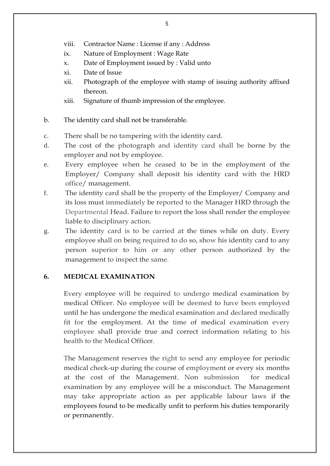- viii. Contractor Name : License if any : Address
- ix. Nature of Employment : Wage Rate
- x. Date of Employment issued by : Valid unto
- xi. Date of Issue
- xii. Photograph of the employee with stamp of issuing authority affixed thereon.
- xiii. Signature of thumb impression of the employee.
- b. The identity card shall not be transferable.
- c. There shall be no tampering with the identity card.
- d. The cost of the photograph and identity card shall be borne by the employer and not by employee.
- e. Every employee when he ceased to be in the employment of the Employer/ Company shall deposit his identity card with the HRD office/ management.
- f. The identity card shall be the property of the Employer/ Company and its loss must immediately be reported to the Manager HRD through the Departmental Head. Failure to report the loss shall render the employee liable to disciplinary action.
- g. The identity card is to be carried at the times while on duty. Every employee shall on being required to do so, show his identity card to any person superior to him or any other person authorized by the management to inspect the same.

# **6. MEDICAL EXAMINATION**

Every employee will be required to undergo medical examination by medical Officer. No employee will be deemed to have been employed until he has undergone the medical examination and declared medically fit for the employment. At the time of medical examination every employee shall provide true and correct information relating to his health to the Medical Officer.

The Management reserves the right to send any employee for periodic medical check-up during the course of employment or every six months at the cost of the Management. Non submission for medical examination by any employee will be a misconduct. The Management may take appropriate action as per applicable labour laws if the employees found to be medically unfit to perform his duties temporarily or permanently.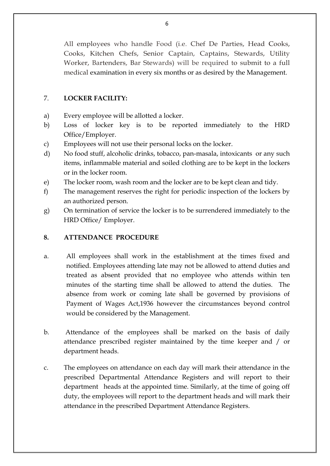All employees who handle Food (i.e. Chef De Parties, Head Cooks, Cooks, Kitchen Chefs, Senior Captain, Captains, Stewards, Utility Worker, Bartenders, Bar Stewards) will be required to submit to a full medical examination in every six months or as desired by the Management.

# 7. **LOCKER FACILITY:**

- a) Every employee will be allotted a locker.
- b) Loss of locker key is to be reported immediately to the HRD Office/Employer.
- c) Employees will not use their personal locks on the locker.
- d) No food stuff, alcoholic drinks, tobacco, pan-masala, intoxicants or any such items, inflammable material and soiled clothing are to be kept in the lockers or in the locker room.
- e) The locker room, wash room and the locker are to be kept clean and tidy.
- f) The management reserves the right for periodic inspection of the lockers by an authorized person.
- g) On termination of service the locker is to be surrendered immediately to the HRD Office/ Employer.

# **8. ATTENDANCE PROCEDURE**

- a. All employees shall work in the establishment at the times fixed and notified. Employees attending late may not be allowed to attend duties and treated as absent provided that no employee who attends within ten minutes of the starting time shall be allowed to attend the duties. The absence from work or coming late shall be governed by provisions of Payment of Wages Act,1936 however the circumstances beyond control would be considered by the Management.
- b. Attendance of the employees shall be marked on the basis of daily attendance prescribed register maintained by the time keeper and / or department heads.
- c. The employees on attendance on each day will mark their attendance in the prescribed Departmental Attendance Registers and will report to their department heads at the appointed time. Similarly, at the time of going off duty, the employees will report to the department heads and will mark their attendance in the prescribed Department Attendance Registers.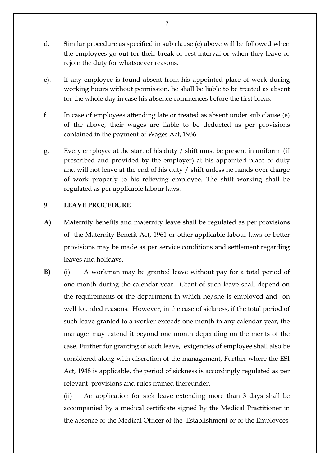- d. Similar procedure as specified in sub clause (c) above will be followed when the employees go out for their break or rest interval or when they leave or rejoin the duty for whatsoever reasons.
- e). If any employee is found absent from his appointed place of work during working hours without permission, he shall be liable to be treated as absent for the whole day in case his absence commences before the first break
- f. In case of employees attending late or treated as absent under sub clause (e) of the above, their wages are liable to be deducted as per provisions contained in the payment of Wages Act, 1936.
- g. Every employee at the start of his duty / shift must be present in uniform (if prescribed and provided by the employer) at his appointed place of duty and will not leave at the end of his duty / shift unless he hands over charge of work properly to his relieving employee. The shift working shall be regulated as per applicable labour laws.

### **9. LEAVE PROCEDURE**

- **A)** Maternity benefits and maternity leave shall be regulated as per provisions of the Maternity Benefit Act, 1961 or other applicable labour laws or better provisions may be made as per service conditions and settlement regarding leaves and holidays.
- **B)** (i) A workman may be granted leave without pay for a total period of one month during the calendar year. Grant of such leave shall depend on the requirements of the department in which he/she is employed and on well founded reasons. However, in the case of sickness, if the total period of such leave granted to a worker exceeds one month in any calendar year, the manager may extend it beyond one month depending on the merits of the case. Further for granting of such leave, exigencies of employee shall also be considered along with discretion of the management, Further where the ESI Act, 1948 is applicable, the period of sickness is accordingly regulated as per relevant provisions and rules framed thereunder.

(ii) An application for sick leave extending more than 3 days shall be accompanied by a medical certificate signed by the Medical Practitioner in the absence of the Medical Officer of the Establishment or of the Employees'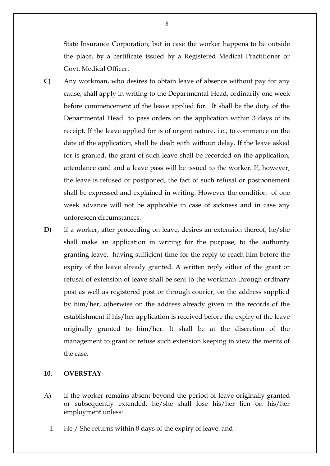State Insurance Corporation; but in case the worker happens to be outside the place, by a certificate issued by a Registered Medical Practitioner or Govt. Medical Officer.

- **C)** Any workman, who desires to obtain leave of absence without pay for any cause, shall apply in writing to the Departmental Head, ordinarily one week before commencement of the leave applied for. It shall be the duty of the Departmental Head to pass orders on the application within 3 days of its receipt. If the leave applied for is of urgent nature, i.e., to commence on the date of the application, shall be dealt with without delay. If the leave asked for is granted, the grant of such leave shall be recorded on the application, attendance card and a leave pass will be issued to the worker. If, however, the leave is refused or postponed, the fact of such refusal or postponement shall be expressed and explained in writing. However the condition of one week advance will not be applicable in case of sickness and in case any unforeseen circumstances.
- **D)** If a worker, after proceeding on leave, desires an extension thereof, he/she shall make an application in writing for the purpose, to the authority granting leave, having sufficient time for the reply to reach him before the expiry of the leave already granted. A written reply either of the grant or refusal of extension of leave shall be sent to the workman through ordinary post as well as registered post or through courier, on the address supplied by him/her, otherwise on the address already given in the records of the establishment if his/her application is received before the expiry of the leave originally granted to him/her. It shall be at the discretion of the management to grant or refuse such extension keeping in view the merits of the case.

### **10. OVERSTAY**

- A) If the worker remains absent beyond the period of leave originally granted or subsequently extended, he/she shall lose his/her lien on his/her employment unless:
	- i. He / She returns within 8 days of the expiry of leave: and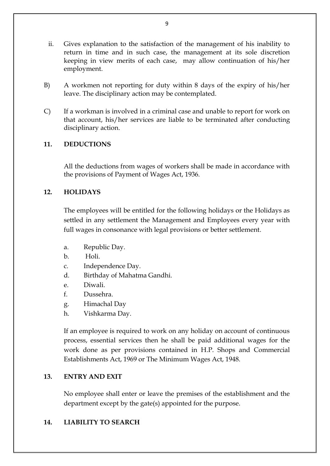- ii. Gives explanation to the satisfaction of the management of his inability to return in time and in such case, the management at its sole discretion keeping in view merits of each case, may allow continuation of his/her employment.
- B) A workmen not reporting for duty within 8 days of the expiry of his/her leave. The disciplinary action may be contemplated.
- C) If a workman is involved in a criminal case and unable to report for work on that account, his/her services are liable to be terminated after conducting disciplinary action.

# **11. DEDUCTIONS**

All the deductions from wages of workers shall be made in accordance with the provisions of Payment of Wages Act, 1936.

# **12. HOLIDAYS**

The employees will be entitled for the following holidays or the Holidays as settled in any settlement the Management and Employees every year with full wages in consonance with legal provisions or better settlement.

- a. Republic Day.
- b. Holi.
- c. Independence Day.
- d. Birthday of Mahatma Gandhi.
- e. Diwali.
- f. Dussehra.
- g. Himachal Day
- h. Vishkarma Day.

If an employee is required to work on any holiday on account of continuous process, essential services then he shall be paid additional wages for the work done as per provisions contained in H.P. Shops and Commercial Establishments Act, 1969 or The Minimum Wages Act, 1948.

# **13. ENTRY AND EXIT**

No employee shall enter or leave the premises of the establishment and the department except by the gate(s) appointed for the purpose.

# **14. LIABILITY TO SEARCH**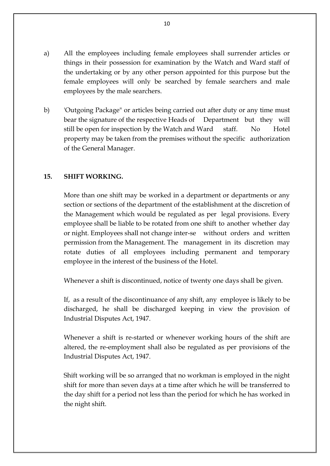- a) All the employees including female employees shall surrender articles or things in their possession for examination by the Watch and Ward staff of the undertaking or by any other person appointed for this purpose but the female employees will only be searched by female searchers and male employees by the male searchers.
- b) 'Outgoing Package" or articles being carried out after duty or any time must bear the signature of the respective Heads of Department but they will still be open for inspection by the Watch and Ward staff. No Hotel property may be taken from the premises without the specific authorization of the General Manager.

# **15. SHIFT WORKING.**

More than one shift may be worked in a department or departments or any section or sections of the department of the establishment at the discretion of the Management which would be regulated as per legal provisions. Every employee shall be liable to be rotated from one shift to another whether day or night. Employees shall not change inter-se without orders and written permission from the Management. The management in its discretion may rotate duties of all employees including permanent and temporary employee in the interest of the business of the Hotel.

Whenever a shift is discontinued, notice of twenty one days shall be given.

If, as a result of the discontinuance of any shift, any employee is likely to be discharged, he shall be discharged keeping in view the provision of Industrial Disputes Act, 1947.

Whenever a shift is re-started or whenever working hours of the shift are altered, the re-employment shall also be regulated as per provisions of the Industrial Disputes Act, 1947.

Shift working will be so arranged that no workman is employed in the night shift for more than seven days at a time after which he will be transferred to the day shift for a period not less than the period for which he has worked in the night shift.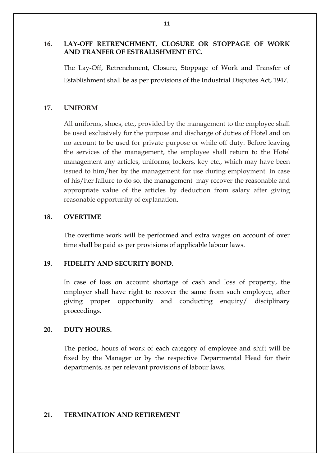# **16. LAY-OFF RETRENCHMENT, CLOSURE OR STOPPAGE OF WORK AND TRANFER OF ESTBALISHMENT ETC.**

The Lay-Off, Retrenchment, Closure, Stoppage of Work and Transfer of Establishment shall be as per provisions of the Industrial Disputes Act, 1947.

# **17. UNIFORM**

All uniforms, shoes, etc., provided by the management to the employee shall be used exclusively for the purpose and discharge of duties of Hotel and on no account to be used for private purpose or while off duty. Before leaving the services of the management, the employee shall return to the Hotel management any articles, uniforms, lockers, key etc., which may have been issued to him/her by the management for use during employment. In case of his/her failure to do so, the management may recover the reasonable and appropriate value of the articles by deduction from salary after giving reasonable opportunity of explanation.

# **18. OVERTIME**

The overtime work will be performed and extra wages on account of over time shall be paid as per provisions of applicable labour laws.

# **19. FIDELITY AND SECURITY BOND.**

In case of loss on account shortage of cash and loss of property, the employer shall have right to recover the same from such employee, after giving proper opportunity and conducting enquiry/ disciplinary proceedings.

# **20. DUTY HOURS.**

The period, hours of work of each category of employee and shift will be fixed by the Manager or by the respective Departmental Head for their departments, as per relevant provisions of labour laws.

# **21. TERMINATION AND RETIREMENT**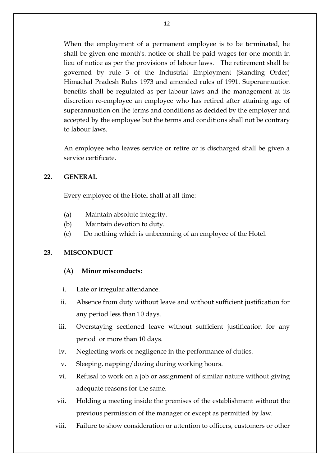When the employment of a permanent employee is to be terminated, he shall be given one month's. notice or shall be paid wages for one month in lieu of notice as per the provisions of labour laws. The retirement shall be governed by rule 3 of the Industrial Employment (Standing Order) Himachal Pradesh Rules 1973 and amended rules of 1991. Superannuation benefits shall be regulated as per labour laws and the management at its discretion re-employee an employee who has retired after attaining age of superannuation on the terms and conditions as decided by the employer and accepted by the employee but the terms and conditions shall not be contrary to labour laws.

An employee who leaves service or retire or is discharged shall be given a service certificate.

### **22. GENERAL**

Every employee of the Hotel shall at all time:

- (a) Maintain absolute integrity.
- (b) Maintain devotion to duty.
- (c) Do nothing which is unbecoming of an employee of the Hotel.

# **23. MISCONDUCT**

# **(A) Minor misconducts:**

- i. Late or irregular attendance.
- ii. Absence from duty without leave and without sufficient justification for any period less than 10 days.
- iii. Overstaying sectioned leave without sufficient justification for any period or more than 10 days.
- iv. Neglecting work or negligence in the performance of duties.
- v. Sleeping, napping/dozing during working hours.
- vi. Refusal to work on a job or assignment of similar nature without giving adequate reasons for the same.
- vii. Holding a meeting inside the premises of the establishment without the previous permission of the manager or except as permitted by law.
- viii. Failure to show consideration or attention to officers, customers or other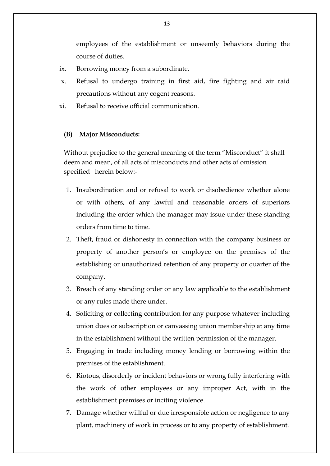employees of the establishment or unseemly behaviors during the course of duties.

- ix. Borrowing money from a subordinate.
- x. Refusal to undergo training in first aid, fire fighting and air raid precautions without any cogent reasons.
- xi. Refusal to receive official communication.

### **(B) Major Misconducts:**

Without prejudice to the general meaning of the term "Misconduct" it shall deem and mean, of all acts of misconducts and other acts of omission specified herein below:-

- 1. Insubordination and or refusal to work or disobedience whether alone or with others, of any lawful and reasonable orders of superiors including the order which the manager may issue under these standing orders from time to time.
- 2. Theft, fraud or dishonesty in connection with the company business or property of another person's or employee on the premises of the establishing or unauthorized retention of any property or quarter of the company.
- 3. Breach of any standing order or any law applicable to the establishment or any rules made there under.
- 4. Soliciting or collecting contribution for any purpose whatever including union dues or subscription or canvassing union membership at any time in the establishment without the written permission of the manager.
- 5. Engaging in trade including money lending or borrowing within the premises of the establishment.
- 6. Riotous, disorderly or incident behaviors or wrong fully interfering with the work of other employees or any improper Act, with in the establishment premises or inciting violence.
- 7. Damage whether willful or due irresponsible action or negligence to any plant, machinery of work in process or to any property of establishment.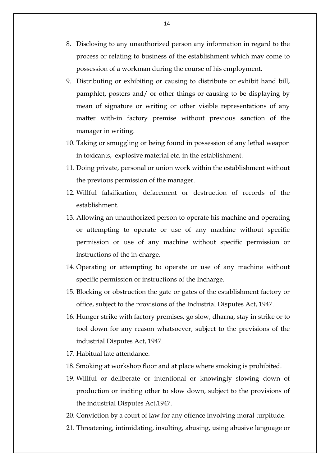- 8. Disclosing to any unauthorized person any information in regard to the process or relating to business of the establishment which may come to possession of a workman during the course of his employment.
- 9. Distributing or exhibiting or causing to distribute or exhibit hand bill, pamphlet, posters and/ or other things or causing to be displaying by mean of signature or writing or other visible representations of any matter with-in factory premise without previous sanction of the manager in writing.
- 10. Taking or smuggling or being found in possession of any lethal weapon in toxicants, explosive material etc. in the establishment.
- 11. Doing private, personal or union work within the establishment without the previous permission of the manager.
- 12. Willful falsification, defacement or destruction of records of the establishment.
- 13. Allowing an unauthorized person to operate his machine and operating or attempting to operate or use of any machine without specific permission or use of any machine without specific permission or instructions of the in-charge.
- 14. Operating or attempting to operate or use of any machine without specific permission or instructions of the Incharge.
- 15. Blocking or obstruction the gate or gates of the establishment factory or office, subject to the provisions of the Industrial Disputes Act, 1947.
- 16. Hunger strike with factory premises, go slow, dharna, stay in strike or to tool down for any reason whatsoever, subject to the previsions of the industrial Disputes Act, 1947.
- 17. Habitual late attendance.
- 18. Smoking at workshop floor and at place where smoking is prohibited.
- 19. Willful or deliberate or intentional or knowingly slowing down of production or inciting other to slow down, subject to the provisions of the industrial Disputes Act,1947.
- 20. Conviction by a court of law for any offence involving moral turpitude.
- 21. Threatening, intimidating, insulting, abusing, using abusive language or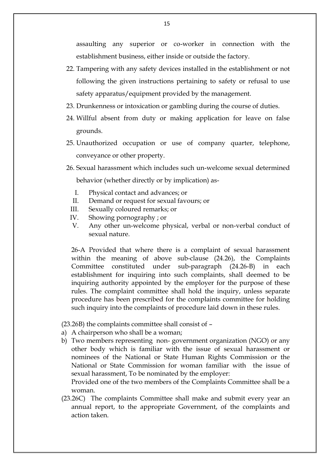assaulting any superior or co-worker in connection with the establishment business, either inside or outside the factory.

- 22. Tampering with any safety devices installed in the establishment or not following the given instructions pertaining to safety or refusal to use safety apparatus/equipment provided by the management.
- 23. Drunkenness or intoxication or gambling during the course of duties.
- 24. Willful absent from duty or making application for leave on false grounds.
- 25. Unauthorized occupation or use of company quarter, telephone, conveyance or other property.
- 26. Sexual harassment which includes such un-welcome sexual determined behavior (whether directly or by implication) as-
	- I. Physical contact and advances; or
	- II. Demand or request for sexual favours; or
	- III. Sexually coloured remarks; or
	- IV. Showing pornography ; or
	- V. Any other un-welcome physical, verbal or non-verbal conduct of sexual nature.

26-A Provided that where there is a complaint of sexual harassment within the meaning of above sub-clause (24.26), the Complaints Committee constituted under sub-paragraph (24.26-B) in each establishment for inquiring into such complaints, shall deemed to be inquiring authority appointed by the employer for the purpose of these rules. The complaint committee shall hold the inquiry, unless separate procedure has been prescribed for the complaints committee for holding such inquiry into the complaints of procedure laid down in these rules.

(23.26B) the complaints committee shall consist of –

- a) A chairperson who shall be a woman;
- b) Two members representing non- government organization (NGO) or any other body which is familiar with the issue of sexual harassment or nominees of the National or State Human Rights Commission or the National or State Commission for woman familiar with the issue of sexual harassment, To be nominated by the employer:

Provided one of the two members of the Complaints Committee shall be a woman.

(23.26C) The complaints Committee shall make and submit every year an annual report, to the appropriate Government, of the complaints and action taken.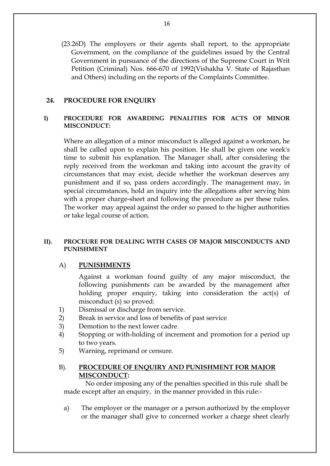(23.26D) The employers or their agents shall report, to the appropriate Government, on the compliance of the guidelines issued by the Central Government in pursuance of the directions of the Supreme Court in Writ Petition (Criminal) Nos. 666-670 of 1992(Vishakha V. State of Rajasthan and Others) including on the reports of the Complaints Committee.

### **24. PROCEDURE FOR ENQUIRY**

## **I) PROCEDURE FOR AWARDING PENALITIES FOR ACTS OF MINOR MISCONDUCT:**

Where an allegation of a minor misconduct is alleged against a workman, he shall be called upon to explain his position. He shall be given one week's time to submit his explanation. The Manager shall, after considering the reply received from the workman and taking into account the gravity of circumstances that may exist, decide whether the workman deserves any punishment and if so, pass orders accordingly. The management may, in special circumstances, hold an inquiry into the allegations after serving him with a proper charge-sheet and following the procedure as per these rules. The worker may appeal against the order so passed to the higher authorities or take legal course of action.

### **II). PROCEURE FOR DEALING WITH CASES OF MAJOR MISCONDUCTS AND PUNISHMENT**

### A) **PUNISHMENTS**

Against a workman found guilty of any major misconduct, the following punishments can be awarded by the management after holding proper enquiry, taking into consideration the act(s) of misconduct (s) so proved:

- 1) Dismissal or discharge from service.
- 2) Break in service and loss of benefits of past service
- 3) Demotion to the next lower cadre.
- 4) Stopping or with-holding of increment and promotion for a period up to two years.
- 5) Warning, reprimand or censure.

### B). **PROCEDURE OF ENQUIRY AND PUNISHMENT FOR MAJOR MISCONDUCT:**

No order imposing any of the penalties specified in this rule shall be made except after an enquiry, in the manner provided in this rule:-

a) The employer or the manager or a person authorized by the employer or the manager shall give to concerned worker a charge sheet clearly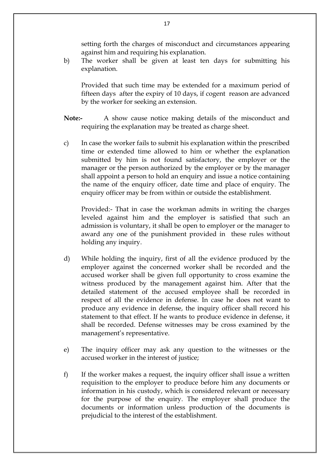setting forth the charges of misconduct and circumstances appearing against him and requiring his explanation.

b) The worker shall be given at least ten days for submitting his explanation.

Provided that such time may be extended for a maximum period of fifteen days after the expiry of 10 days, if cogent reason are advanced by the worker for seeking an extension.

- **Note:-** A show cause notice making details of the misconduct and requiring the explanation may be treated as charge sheet.
- c) In case the worker fails to submit his explanation within the prescribed time or extended time allowed to him or whether the explanation submitted by him is not found satisfactory, the employer or the manager or the person authorized by the employer or by the manager shall appoint a person to hold an enquiry and issue a notice containing the name of the enquiry officer, date time and place of enquiry. The enquiry officer may be from within or outside the establishment.

Provided:- That in case the workman admits in writing the charges leveled against him and the employer is satisfied that such an admission is voluntary, it shall be open to employer or the manager to award any one of the punishment provided in these rules without holding any inquiry.

- d) While holding the inquiry, first of all the evidence produced by the employer against the concerned worker shall be recorded and the accused worker shall be given full opportunity to cross examine the witness produced by the management against him. After that the detailed statement of the accused employee shall be recorded in respect of all the evidence in defense. In case he does not want to produce any evidence in defense, the inquiry officer shall record his statement to that effect. If he wants to produce evidence in defense, it shall be recorded. Defense witnesses may be cross examined by the management's representative.
- e) The inquiry officer may ask any question to the witnesses or the accused worker in the interest of justice;
- f) If the worker makes a request, the inquiry officer shall issue a written requisition to the employer to produce before him any documents or information in his custody, which is considered relevant or necessary for the purpose of the enquiry. The employer shall produce the documents or information unless production of the documents is prejudicial to the interest of the establishment.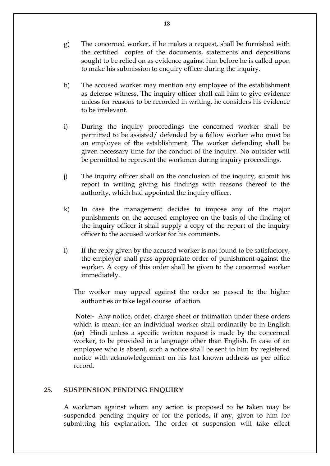- g) The concerned worker, if he makes a request, shall be furnished with the certified copies of the documents, statements and depositions sought to be relied on as evidence against him before he is called upon to make his submission to enquiry officer during the inquiry.
- h) The accused worker may mention any employee of the establishment as defense witness. The inquiry officer shall call him to give evidence unless for reasons to be recorded in writing, he considers his evidence to be irrelevant.
- i) During the inquiry proceedings the concerned worker shall be permitted to be assisted/ defended by a fellow worker who must be an employee of the establishment. The worker defending shall be given necessary time for the conduct of the inquiry. No outsider will be permitted to represent the workmen during inquiry proceedings.
- j) The inquiry officer shall on the conclusion of the inquiry, submit his report in writing giving his findings with reasons thereof to the authority, which had appointed the inquiry officer.
- k) In case the management decides to impose any of the major punishments on the accused employee on the basis of the finding of the inquiry officer it shall supply a copy of the report of the inquiry officer to the accused worker for his comments.
- l) If the reply given by the accused worker is not found to be satisfactory, the employer shall pass appropriate order of punishment against the worker. A copy of this order shall be given to the concerned worker immediately.
	- The worker may appeal against the order so passed to the higher authorities or take legal course of action.

**Note:-** Any notice, order, charge sheet or intimation under these orders which is meant for an individual worker shall ordinarily be in English **(or)** Hindi unless a specific written request is made by the concerned worker, to be provided in a language other than English. In case of an employee who is absent, such a notice shall be sent to him by registered notice with acknowledgement on his last known address as per office record.

### **25. SUSPENSION PENDING ENQUIRY**

A workman against whom any action is proposed to be taken may be suspended pending inquiry or for the periods, if any, given to him for submitting his explanation. The order of suspension will take effect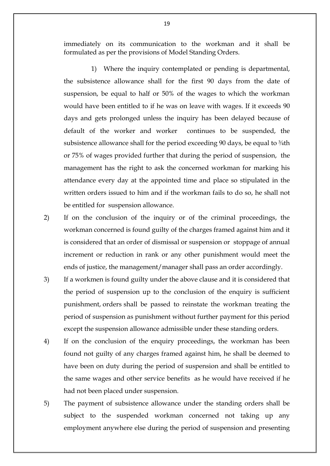immediately on its communication to the workman and it shall be formulated as per the provisions of Model Standing Orders.

1) Where the inquiry contemplated or pending is departmental, the subsistence allowance shall for the first 90 days from the date of suspension, be equal to half or 50% of the wages to which the workman would have been entitled to if he was on leave with wages. If it exceeds 90 days and gets prolonged unless the inquiry has been delayed because of default of the worker and worker continues to be suspended, the subsistence allowance shall for the period exceeding 90 days, be equal to  $\frac{3}{4}$ th or 75% of wages provided further that during the period of suspension, the management has the right to ask the concerned workman for marking his attendance every day at the appointed time and place so stipulated in the written orders issued to him and if the workman fails to do so, he shall not be entitled for suspension allowance.

- 2) If on the conclusion of the inquiry or of the criminal proceedings, the workman concerned is found guilty of the charges framed against him and it is considered that an order of dismissal or suspension or stoppage of annual increment or reduction in rank or any other punishment would meet the ends of justice, the management/manager shall pass an order accordingly.
- 3) If a workmen is found guilty under the above clause and it is considered that the period of suspension up to the conclusion of the enquiry is sufficient punishment, orders shall be passed to reinstate the workman treating the period of suspension as punishment without further payment for this period except the suspension allowance admissible under these standing orders.
- 4) If on the conclusion of the enquiry proceedings, the workman has been found not guilty of any charges framed against him, he shall be deemed to have been on duty during the period of suspension and shall be entitled to the same wages and other service benefits as he would have received if he had not been placed under suspension.
- 5) The payment of subsistence allowance under the standing orders shall be subject to the suspended workman concerned not taking up any employment anywhere else during the period of suspension and presenting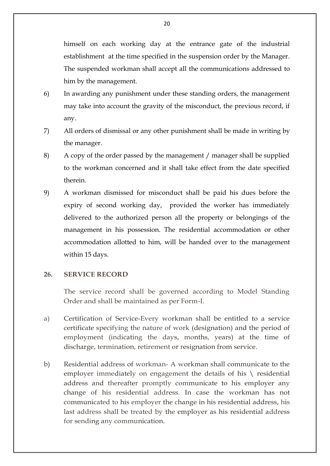himself on each working day at the entrance gate of the industrial establishment at the time specified in the suspension order by the Manager. The suspended workman shall accept all the communications addressed to him by the management.

- 6) In awarding any punishment under these standing orders, the management may take into account the gravity of the misconduct, the previous record, if any.
- 7) All orders of dismissal or any other punishment shall be made in writing by the manager.
- 8) A copy of the order passed by the management / manager shall be supplied to the workman concerned and it shall take effect from the date specified therein.
- 9) A workman dismissed for misconduct shall be paid his dues before the expiry of second working day, provided the worker has immediately delivered to the authorized person all the property or belongings of the management in his possession. The residential accommodation or other accommodation allotted to him, will be handed over to the management within 15 days.

### **26. SERVICE RECORD**

The service record shall be governed according to Model Standing Order and shall be maintained as per Form-I.

- a) Certification of Service-Every workman shall be entitled to a service certificate specifying the nature of work (designation) and the period of employment (indicating the days, months, years) at the time of discharge, termination, retirement or resignation from service.
- b) Residential address of workman- A workman shall communicate to the employer immediately on engagement the details of his  $\setminus$  residential address and thereafter promptly communicate to his employer any change of his residential address. In case the workman has not communicated to his employer the change in his residential address, his last address shall be treated by the employer as his residential address for sending any communication.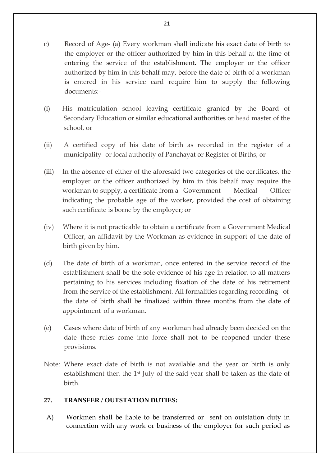- c) Record of Age- (a) Every workman shall indicate his exact date of birth to the employer or the officer authorized by him in this behalf at the time of entering the service of the establishment. The employer or the officer authorized by him in this behalf may, before the date of birth of a workman is entered in his service card require him to supply the following documents:-
- (i) His matriculation school leaving certificate granted by the Board of Secondary Education or similar educational authorities or head master of the school, or
- (ii) A certified copy of his date of birth as recorded in the register of a municipality or local authority of Panchayat or Register of Births; or
- (iii) In the absence of either of the aforesaid two categories of the certificates, the employer or the officer authorized by him in this behalf may require the workman to supply, a certificate from a Government Medical Officer indicating the probable age of the worker, provided the cost of obtaining such certificate is borne by the employer; or
- (iv) Where it is not practicable to obtain a certificate from a Government Medical Officer, an affidavit by the Workman as evidence in support of the date of birth given by him.
- (d) The date of birth of a workman, once entered in the service record of the establishment shall be the sole evidence of his age in relation to all matters pertaining to his services including fixation of the date of his retirement from the service of the establishment. All formalities regarding recording of the date of birth shall be finalized within three months from the date of appointment of a workman.
- (e) Cases where date of birth of any workman had already been decided on the date these rules come into force shall not to be reopened under these provisions.
- Note: Where exact date of birth is not available and the year or birth is only establishment then the 1<sup>st</sup> July of the said year shall be taken as the date of birth.

# **27. TRANSFER / OUTSTATION DUTIES:**

A) Workmen shall be liable to be transferred or sent on outstation duty in connection with any work or business of the employer for such period as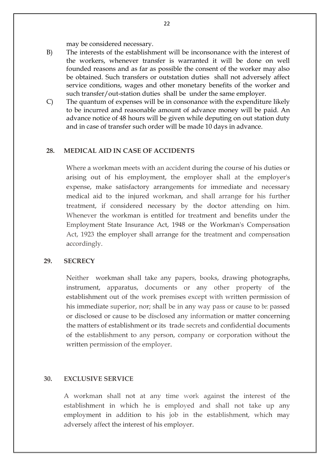may be considered necessary.

- B) The interests of the establishment will be inconsonance with the interest of the workers, whenever transfer is warranted it will be done on well founded reasons and as far as possible the consent of the worker may also be obtained. Such transfers or outstation duties shall not adversely affect service conditions, wages and other monetary benefits of the worker and such transfer/out-station duties shall be under the same employer.
- C) The quantum of expenses will be in consonance with the expenditure likely to be incurred and reasonable amount of advance money will be paid. An advance notice of 48 hours will be given while deputing on out station duty and in case of transfer such order will be made 10 days in advance.

#### **28. MEDICAL AID IN CASE OF ACCIDENTS**

Where a workman meets with an accident during the course of his duties or arising out of his employment, the employer shall at the employer's expense, make satisfactory arrangements for immediate and necessary medical aid to the injured workman, and shall arrange for his further treatment, if considered necessary by the doctor attending on him. Whenever the workman is entitled for treatment and benefits under the Employment State Insurance Act, 1948 or the Workman's Compensation Act, 1923 the employer shall arrange for the treatment and compensation accordingly.

#### **29. SECRECY**

Neither workman shall take any papers, books, drawing photographs, instrument, apparatus, documents or any other property of the establishment out of the work premises except with written permission of his immediate superior, nor; shall be in any way pass or cause to be: passed or disclosed or cause to be disclosed any information or matter concerning the matters of establishment or its trade secrets and confidential documents of the establishment to any person, company or corporation without the written permission of the employer.

#### **30. EXCLUSIVE SERVICE**

A workman shall not at any time work against the interest of the establishment in which he is employed and shall not take up any employment in addition to his job in the establishment, which may adversely affect the interest of his employer.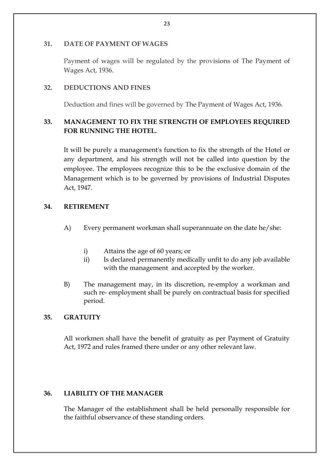### **31. DATE OF PAYMENT OF WAGES**

Payment of wages will be regulated by the provisions of The Payment of Wages Act, 1936.

## **32. DEDUCTIONS AND FINES**

Deduction and fines will be governed by The Payment of Wages Act, 1936.

# **33. MANAGEMENT TO FIX THE STRENGTH OF EMPLOYEES REQUIRED FOR RUNNING THE HOTEL.**

It will be purely a management's function to fix the strength of the Hotel or any department, and his strength will not be called into question by the employee. The employees recognize this to be the exclusive domain of the Management which is to be governed by provisions of Industrial Disputes Act, 1947.

# **34. RETIREMENT**

- A) Every permanent workman shall superannuate on the date he/she:
	- i) Attains the age of 60 years; or
	- ii) Is declared permanently medically unfit to do any job available with the management and accepted by the worker.
- B) The management may, in its discretion, re-employ a workman and such re- employment shall be purely on contractual basis for specified period.

# **35. GRATUITY**

All workmen shall have the benefit of gratuity as per Payment of Gratuity Act, 1972 and rules framed there under or any other relevant law.

# **36. LIABILITY OF THE MANAGER**

The Manager of the establishment shall be held personally responsible for the faithful observance of these standing orders.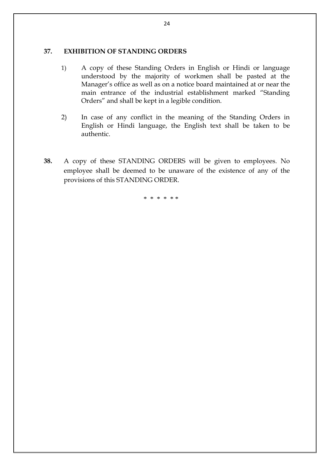#### **37. EXHIBITION OF STANDING ORDERS**

- 1) A copy of these Standing Orders in English or Hindi or language understood by the majority of workmen shall be pasted at the Manager's office as well as on a notice board maintained at or near the main entrance of the industrial establishment marked "Standing Orders" and shall be kept in a legible condition.
- 2) In case of any conflict in the meaning of the Standing Orders in English or Hindi language, the English text shall be taken to be authentic.
- **38.** A copy of these STANDING ORDERS will be given to employees. No employee shall be deemed to be unaware of the existence of any of the provisions of this STANDING ORDER.

\* \* \* \* \* \*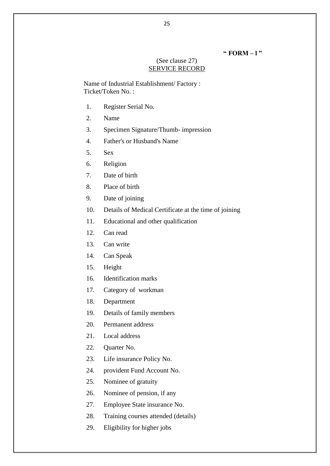#### **" FORM – l "**

#### (See clause 27) SERVICE RECORD

Name of Industrial Establishment/ Factory : Ticket/Token No. :

- 1. Register Serial No.
- 2. Name
- 3. Specimen Signature/Thumb- impression
- 4. Father's or Husband's Name
- 5. Sex
- 6. Religion
- 7. Date of birth
- 8. Place of birth
- 9. Date of joining
- 10. Details of Medical Certificate at the time of joining
- 11. Educational and other qualification
- 12. Can read
- 13. Can write
- 14. Can Speak
- 15. Height
- 16. Identification marks
- 17. Category of workman
- 18. Department
- 19. Details of family members
- 20. Permanent address
- 21. Local address
- 22. Quarter No.
- 23. Life insurance Policy No.
- 24. provident Fund Account No.
- 25. Nominee of gratuity
- 26. Nominee of pension, if any
- 27. Employee State insurance No.
- 28. Training courses attended (details)
- 29. Eligibility for higher jobs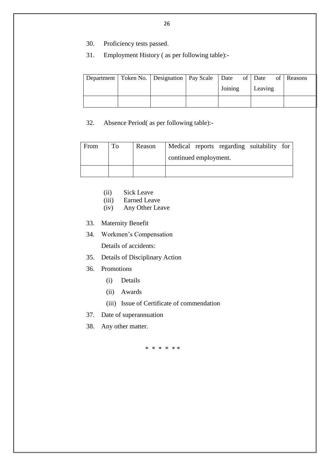- 30. Proficiency tests passed.
- 31. Employment History ( as per following table):-

|  | Department   Token No.   Designation   Pay Scale   Date of   Date of   Reasons |         |  |         |  |  |
|--|--------------------------------------------------------------------------------|---------|--|---------|--|--|
|  |                                                                                | Joining |  | Leaving |  |  |
|  |                                                                                |         |  |         |  |  |

32. Absence Period( as per following table):-

| From | Reason |                       |  |  | Medical reports regarding suitability for |  |  |
|------|--------|-----------------------|--|--|-------------------------------------------|--|--|
|      |        | continued employment. |  |  |                                           |  |  |
|      |        |                       |  |  |                                           |  |  |

- (ii) Sick Leave
- (iii) Earned Leave
- (iv) Any Other Leave
- 33. Maternity Benefit
- 34. Workmen's Compensation

Details of accidents:

- 35. Details of Disciplinary Action
- 36. Promotions
	- (i) Details
	- (ii) Awards
	- (iii) Issue of Certificate of commendation
- 37. Date of superannuation
- 38. Any other matter.

\* \* \* \* \* \*